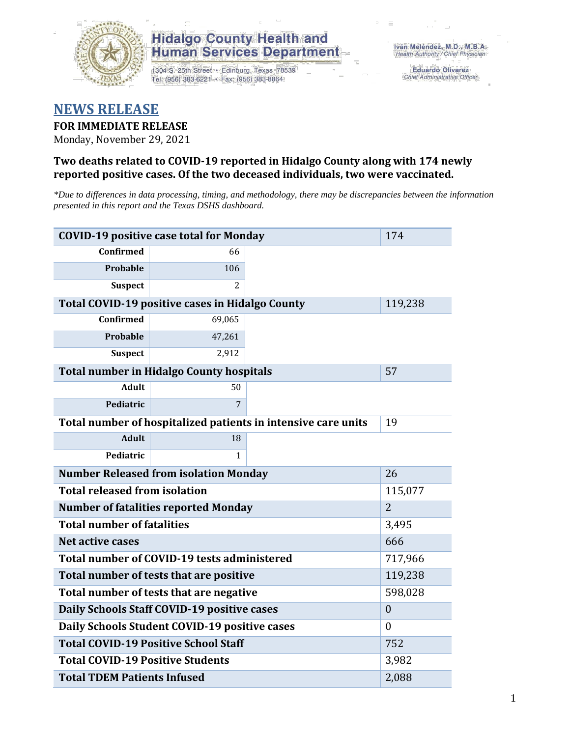

### **Hidalgo County Health and Human Services Department**

1304 S. 25th Street · Edinburg, Texas 78539 Tel: (956) 383-6221 · Fax: (956) 383-8864

**Eduardo Olivarez** Chief Administrative Officer

## **NEWS RELEASE**

### **FOR IMMEDIATE RELEASE**

Monday, November 29, 2021

#### **Two deaths related to COVID-19 reported in Hidalgo County along with 174 newly reported positive cases. Of the two deceased individuals, two were vaccinated.**

*\*Due to differences in data processing, timing, and methodology, there may be discrepancies between the information presented in this report and the Texas DSHS dashboard.*

| <b>COVID-19 positive case total for Monday</b>                | 174                                                    |         |         |  |  |
|---------------------------------------------------------------|--------------------------------------------------------|---------|---------|--|--|
| <b>Confirmed</b>                                              | 66                                                     |         |         |  |  |
| Probable                                                      | 106                                                    |         |         |  |  |
| <b>Suspect</b>                                                | 2                                                      |         |         |  |  |
|                                                               | <b>Total COVID-19 positive cases in Hidalgo County</b> |         | 119,238 |  |  |
| <b>Confirmed</b>                                              | 69,065                                                 |         |         |  |  |
| Probable                                                      | 47,261                                                 |         |         |  |  |
| <b>Suspect</b>                                                | 2,912                                                  |         |         |  |  |
|                                                               | <b>Total number in Hidalgo County hospitals</b>        |         | 57      |  |  |
| <b>Adult</b>                                                  | 50                                                     |         |         |  |  |
| Pediatric                                                     | 7                                                      |         |         |  |  |
| Total number of hospitalized patients in intensive care units | 19                                                     |         |         |  |  |
| <b>Adult</b>                                                  | 18                                                     |         |         |  |  |
| Pediatric                                                     | 1                                                      |         |         |  |  |
| <b>Number Released from isolation Monday</b>                  | 26                                                     |         |         |  |  |
| <b>Total released from isolation</b><br>115,077               |                                                        |         |         |  |  |
| <b>Number of fatalities reported Monday</b>                   | $\overline{2}$                                         |         |         |  |  |
| <b>Total number of fatalities</b>                             | 3,495                                                  |         |         |  |  |
| Net active cases                                              |                                                        |         | 666     |  |  |
| Total number of COVID-19 tests administered                   |                                                        | 717,966 |         |  |  |
| Total number of tests that are positive                       | 119,238                                                |         |         |  |  |
| Total number of tests that are negative                       | 598,028                                                |         |         |  |  |
| Daily Schools Staff COVID-19 positive cases                   | $\boldsymbol{0}$                                       |         |         |  |  |
| Daily Schools Student COVID-19 positive cases                 | $\theta$                                               |         |         |  |  |
| <b>Total COVID-19 Positive School Staff</b>                   | 752                                                    |         |         |  |  |
| <b>Total COVID-19 Positive Students</b>                       | 3,982                                                  |         |         |  |  |
| <b>Total TDEM Patients Infused</b>                            | 2,088                                                  |         |         |  |  |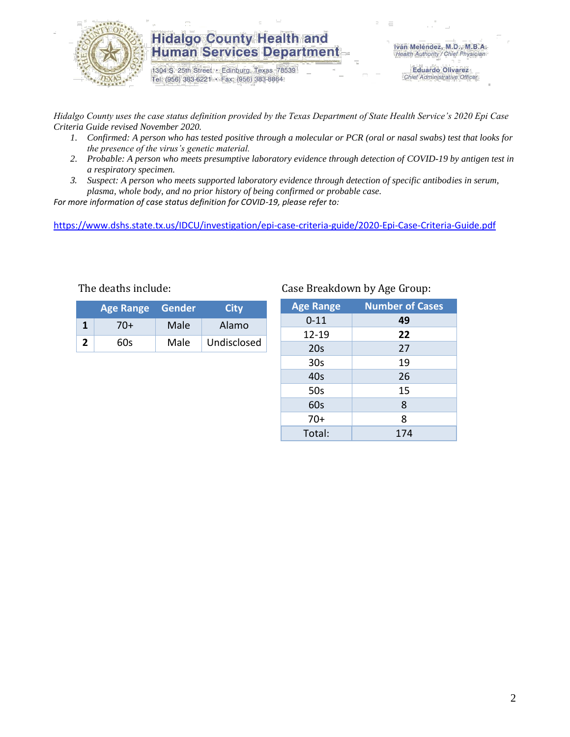

### **Hidalgo County Health and Human Services Department**

1304 S. 25th Street · Edinburg, Texas 78539 Tel: (956) 383-6221 · Fax: (956) 383-8864

Iván Meléndez, M.D., M.B.A. Health Authority / Chief Physician

> **Eduardo Olivarez** Chief Administrative Officer

*Hidalgo County uses the case status definition provided by the Texas Department of State Health Service's 2020 Epi Case Criteria Guide revised November 2020.*

- *1. Confirmed: A person who has tested positive through a molecular or PCR (oral or nasal swabs) test that looks for the presence of the virus's genetic material.*
- *2. Probable: A person who meets presumptive laboratory evidence through detection of COVID-19 by antigen test in a respiratory specimen.*
- *3. Suspect: A person who meets supported laboratory evidence through detection of specific antibodies in serum, plasma, whole body, and no prior history of being confirmed or probable case.*

*For more information of case status definition for COVID-19, please refer to:*

<https://www.dshs.state.tx.us/IDCU/investigation/epi-case-criteria-guide/2020-Epi-Case-Criteria-Guide.pdf>

| <b>Age Range Gender</b> |      | City        |
|-------------------------|------|-------------|
| 70+                     | Male | Alamo       |
| 60s                     | Male | Undisclosed |

#### The deaths include: Case Breakdown by Age Group:

| <b>Age Range</b> | <b>Number of Cases</b> |
|------------------|------------------------|
| $0 - 11$         | 49                     |
| 12-19            | 22                     |
| 20s              | 27                     |
| 30 <sub>s</sub>  | 19                     |
| 40s              | 26                     |
| 50s              | 15                     |
| 60s              | 8                      |
| $70+$            | 8                      |
| Total:           | 174                    |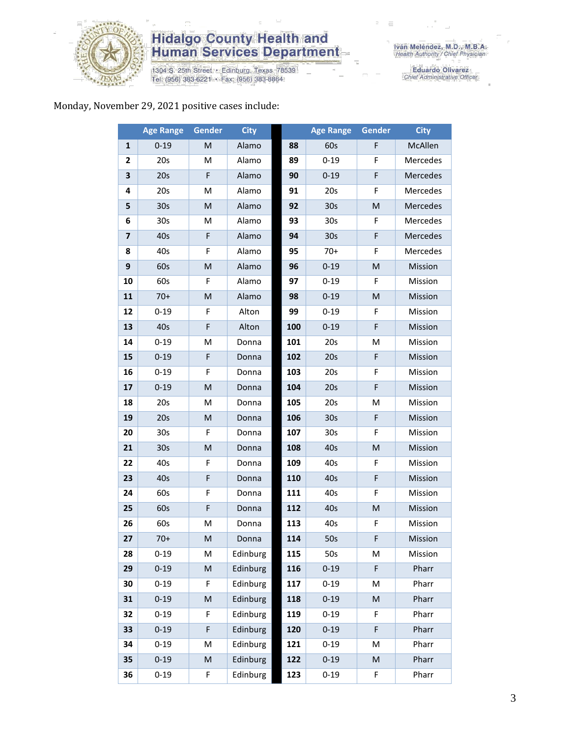

# **Hidalgo County Health and<br>Human Services Department**

1304 S. 25th Street • Edinburg, Texas 78539<br>Tel: (956) 383-6221 • Fax: (956) 383-8864

Eduardo Olivarez<br>Chief Administrative Officer

#### Monday, November 29, 2021 positive cases include:

|                         | <b>Age Range</b> | Gender    | <b>City</b> |     | <b>Age Range</b> | <b>Gender</b> | <b>City</b> |
|-------------------------|------------------|-----------|-------------|-----|------------------|---------------|-------------|
| 1                       | $0 - 19$         | M         | Alamo       | 88  | 60s              | F             | McAllen     |
| 2                       | 20s              | M         | Alamo       | 89  | $0 - 19$         | F             | Mercedes    |
| 3                       | 20s              | F         | Alamo       | 90  | $0 - 19$         | F             | Mercedes    |
| 4                       | 20s              | M         | Alamo       | 91  | 20s              | F             | Mercedes    |
| 5                       | 30 <sub>s</sub>  | M         | Alamo       | 92  | 30 <sub>s</sub>  | M             | Mercedes    |
| 6                       | 30 <sub>s</sub>  | M         | Alamo       | 93  | 30 <sub>s</sub>  | F             | Mercedes    |
| $\overline{\mathbf{z}}$ | 40s              | F         | Alamo       | 94  | 30 <sub>s</sub>  | F             | Mercedes    |
| 8                       | 40s              | F         | Alamo       | 95  | $70+$            | F             | Mercedes    |
| 9                       | 60s              | M         | Alamo       | 96  | $0 - 19$         | M             | Mission     |
| 10                      | 60s              | F         | Alamo       | 97  | $0 - 19$         | F             | Mission     |
| 11                      | $70+$            | M         | Alamo       | 98  | $0 - 19$         | M             | Mission     |
| 12                      | $0 - 19$         | F         | Alton       | 99  | $0 - 19$         | F             | Mission     |
| 13                      | 40s              | F         | Alton       | 100 | $0 - 19$         | F             | Mission     |
| 14                      | $0 - 19$         | Μ         | Donna       | 101 | 20s              | M             | Mission     |
| 15                      | $0 - 19$         | F         | Donna       | 102 | 20s              | F             | Mission     |
| 16                      | $0 - 19$         | F         | Donna       | 103 | 20s              | F             | Mission     |
| 17                      | $0 - 19$         | ${\sf M}$ | Donna       | 104 | 20s              | F             | Mission     |
| 18                      | 20s              | M         | Donna       | 105 | 20s              | M             | Mission     |
| 19                      | 20s              | M         | Donna       | 106 | 30 <sub>s</sub>  | F             | Mission     |
| 20                      | 30 <sub>s</sub>  | F         | Donna       | 107 | 30 <sub>s</sub>  | F             | Mission     |
| 21                      | 30 <sub>s</sub>  | M         | Donna       | 108 | 40s              | M             | Mission     |
| 22                      | 40s              | F         | Donna       | 109 | 40s              | F             | Mission     |
| 23                      | 40s              | F         | Donna       | 110 | 40s              | F             | Mission     |
| 24                      | 60s              | F         | Donna       | 111 | 40s              | F             | Mission     |
| 25                      | 60s              | F         | Donna       | 112 | 40s              | M             | Mission     |
| 26                      | 60s              | M         | Donna       | 113 | 40s              | F             | Mission     |
| 27                      | $70+$            | M         | Donna       | 114 | 50s              | F.            | Mission     |
| 28                      | $0 - 19$         | M         | Edinburg    | 115 | 50s              | м             | Mission     |
| 29                      | $0 - 19$         | M         | Edinburg    | 116 | $0 - 19$         | F             | Pharr       |
| 30                      | $0 - 19$         | F         | Edinburg    | 117 | $0 - 19$         | M             | Pharr       |
| 31                      | $0 - 19$         | M         | Edinburg    | 118 | $0 - 19$         | M             | Pharr       |
| 32                      | $0 - 19$         | F         | Edinburg    | 119 | $0 - 19$         | F             | Pharr       |
| 33                      | $0 - 19$         | F         | Edinburg    | 120 | $0 - 19$         | F             | Pharr       |
| 34                      | $0 - 19$         | M         | Edinburg    | 121 | $0 - 19$         | M             | Pharr       |
| 35                      | $0 - 19$         | M         | Edinburg    | 122 | $0 - 19$         | M             | Pharr       |
| 36                      | $0 - 19$         | F         | Edinburg    | 123 | $0 - 19$         | F             | Pharr       |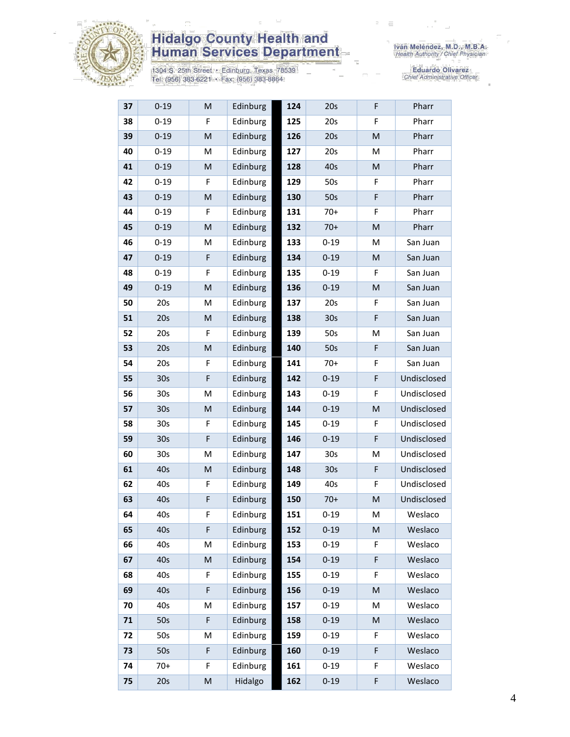

# **Hidalgo County Health and<br>Human Services Department**

1304 S. 25th Street • Edinburg, Texas 78539<br>Tel: (956) 383-6221 • Fax: (956) 383-8864

Eduardo Olivarez<br>Chief Administrative Officer

| 37 | $0 - 19$        | M | Edinburg | 124 | 20s             | F                                                                                                          | Pharr       |
|----|-----------------|---|----------|-----|-----------------|------------------------------------------------------------------------------------------------------------|-------------|
| 38 | $0 - 19$        | F | Edinburg | 125 | 20s             | F                                                                                                          | Pharr       |
| 39 | $0 - 19$        | M | Edinburg | 126 | 20s             | M                                                                                                          | Pharr       |
| 40 | $0 - 19$        | M | Edinburg | 127 | 20s             | M                                                                                                          | Pharr       |
| 41 | $0 - 19$        | M | Edinburg | 128 | 40s             | ${\sf M}$                                                                                                  | Pharr       |
| 42 | $0 - 19$        | F | Edinburg | 129 | 50s             | F                                                                                                          | Pharr       |
| 43 | $0 - 19$        | M | Edinburg | 130 | 50s             | F                                                                                                          | Pharr       |
| 44 | $0 - 19$        | F | Edinburg | 131 | $70+$           | F                                                                                                          | Pharr       |
| 45 | $0 - 19$        | M | Edinburg | 132 | $70+$           | $\mathsf{M}% _{T}=\mathsf{M}_{T}\!\left( a,b\right) ,\ \mathsf{M}_{T}=\mathsf{M}_{T}\!\left( a,b\right) ,$ | Pharr       |
| 46 | $0 - 19$        | M | Edinburg | 133 | $0 - 19$        | M                                                                                                          | San Juan    |
| 47 | $0 - 19$        | F | Edinburg | 134 | $0 - 19$        | ${\sf M}$                                                                                                  | San Juan    |
| 48 | $0 - 19$        | F | Edinburg | 135 | $0 - 19$        | F                                                                                                          | San Juan    |
| 49 | $0 - 19$        | M | Edinburg | 136 | $0 - 19$        | ${\sf M}$                                                                                                  | San Juan    |
| 50 | 20s             | M | Edinburg | 137 | 20s             | F                                                                                                          | San Juan    |
| 51 | 20s             | M | Edinburg | 138 | 30 <sub>s</sub> | F                                                                                                          | San Juan    |
| 52 | 20s             | F | Edinburg | 139 | 50s             | M                                                                                                          | San Juan    |
| 53 | 20s             | M | Edinburg | 140 | 50s             | F                                                                                                          | San Juan    |
| 54 | 20s             | F | Edinburg | 141 | $70+$           | F                                                                                                          | San Juan    |
| 55 | 30 <sub>s</sub> | F | Edinburg | 142 | $0 - 19$        | F                                                                                                          | Undisclosed |
| 56 | 30 <sub>s</sub> | M | Edinburg | 143 | $0 - 19$        | F                                                                                                          | Undisclosed |
| 57 | 30 <sub>s</sub> | M | Edinburg | 144 | $0 - 19$        | ${\sf M}$                                                                                                  | Undisclosed |
| 58 | 30s             | F | Edinburg | 145 | $0 - 19$        | F                                                                                                          | Undisclosed |
| 59 | 30 <sub>s</sub> | F | Edinburg | 146 | $0 - 19$        | F                                                                                                          | Undisclosed |
| 60 | 30 <sub>s</sub> | M | Edinburg | 147 | 30 <sub>s</sub> | M                                                                                                          | Undisclosed |
| 61 | 40s             | M | Edinburg | 148 | 30 <sub>s</sub> | F                                                                                                          | Undisclosed |
| 62 | 40s             | F | Edinburg | 149 | 40s             | F                                                                                                          | Undisclosed |
| 63 | 40s             | F | Edinburg | 150 | $70+$           | ${\sf M}$                                                                                                  | Undisclosed |
| 64 | 40s             | F | Edinburg | 151 | $0 - 19$        | M                                                                                                          | Weslaco     |
| 65 | 40s             | F | Edinburg | 152 | $0 - 19$        | ${\sf M}$                                                                                                  | Weslaco     |
| 66 | 40s             | M | Edinburg | 153 | $0 - 19$        | F                                                                                                          | Weslaco     |
| 67 | 40s             | M | Edinburg | 154 | $0 - 19$        | F                                                                                                          | Weslaco     |
| 68 | 40s             | F | Edinburg | 155 | $0 - 19$        | F                                                                                                          | Weslaco     |
| 69 | 40s             | F | Edinburg | 156 | $0 - 19$        | $\mathsf{M}% _{T}=\mathsf{M}_{T}\!\left( a,b\right) ,\ \mathsf{M}_{T}=\mathsf{M}_{T}\!\left( a,b\right) ,$ | Weslaco     |
| 70 | 40s             | M | Edinburg | 157 | $0 - 19$        | M                                                                                                          | Weslaco     |
| 71 | 50s             | F | Edinburg | 158 | $0 - 19$        | M                                                                                                          | Weslaco     |
| 72 | 50s             | M | Edinburg | 159 | $0 - 19$        | F                                                                                                          | Weslaco     |
| 73 | 50s             | F | Edinburg | 160 | $0 - 19$        | F                                                                                                          | Weslaco     |
| 74 | $70+$           | F | Edinburg | 161 | $0 - 19$        | F                                                                                                          | Weslaco     |
| 75 | 20s             | M | Hidalgo  | 162 | $0 - 19$        | F                                                                                                          | Weslaco     |